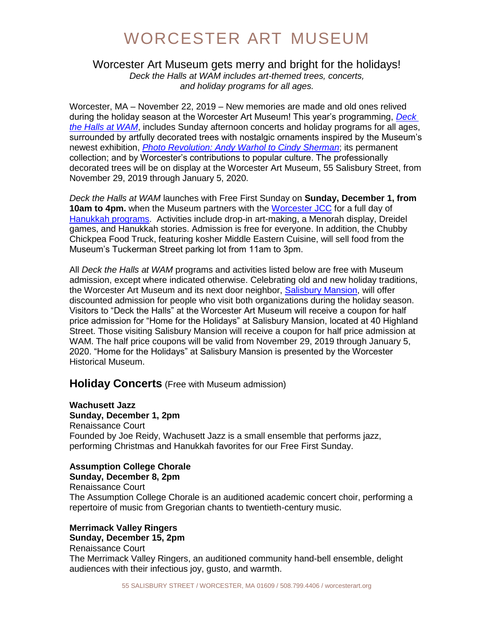#### Worcester Art Museum gets merry and bright for the holidays! *Deck the Halls at WAM includes art-themed trees, concerts, and holiday programs for all ages.*

Worcester, MA – November 22, 2019 – New memories are made and old ones relived during the holiday season at the Worcester Art Museum! This year's programming, *[Deck](https://www.worcesterart.org/events/deck-the-halls/)  [the Halls at WAM](https://www.worcesterart.org/events/deck-the-halls/)*, includes Sunday afternoon concerts and holiday programs for all ages, surrounded by artfully decorated trees with nostalgic ornaments inspired by the Museum's newest exhibition, *[Photo Revolution: Andy Warhol to Cindy Sherman](https://www.worcesterart.org/exhibitions/photo-revolution/)*; its permanent collection; and by Worcester's contributions to popular culture. The professionally decorated trees will be on display at the Worcester Art Museum, 55 Salisbury Street, from November 29, 2019 through January 5, 2020.

*Deck the Halls at WAM* launches with Free First Sunday on **Sunday, December 1, from 10am to 4pm.** when the Museum partners with the [Worcester JCC](https://www.worcesterjcc.org/) for a full day of [Hanukkah programs.](https://www.worcesterart.org/events/?wamid=246664) Activities include drop-in art-making, a Menorah display, Dreidel games, and Hanukkah stories. Admission is free for everyone. In addition, the Chubby Chickpea Food Truck, featuring kosher Middle Eastern Cuisine, will sell food from the Museum's Tuckerman Street parking lot from 11am to 3pm.

All *Deck the Halls at WAM* programs and activities listed below are free with Museum admission, except where indicated otherwise. Celebrating old and new holiday traditions, the Worcester Art Museum and its next door neighbor, [Salisbury Mansion,](http://www.worcesterhistory.org/programs/?id=246369) will offer discounted admission for people who visit both organizations during the holiday season. Visitors to "Deck the Halls" at the Worcester Art Museum will receive a coupon for half price admission for "Home for the Holidays" at Salisbury Mansion, located at 40 Highland Street. Those visiting Salisbury Mansion will receive a coupon for half price admission at WAM. The half price coupons will be valid from November 29, 2019 through January 5, 2020. "Home for the Holidays" at Salisbury Mansion is presented by the Worcester Historical Museum.

## **Holiday Concerts** (Free with Museum admission)

**Wachusett Jazz Sunday, December 1, 2pm** Renaissance Court Founded by Joe Reidy, Wachusett Jazz is a small ensemble that performs jazz, performing Christmas and Hanukkah favorites for our Free First Sunday.

#### **Assumption College Chorale**

**Sunday, December 8, 2pm** Renaissance Court The Assumption College Chorale is an auditioned academic concert choir, performing a repertoire of music from Gregorian chants to twentieth-century music.

#### **Merrimack Valley Ringers Sunday, December 15, 2pm**

Renaissance Court The Merrimack Valley Ringers, an auditioned community hand-bell ensemble, delight audiences with their infectious joy, gusto, and warmth.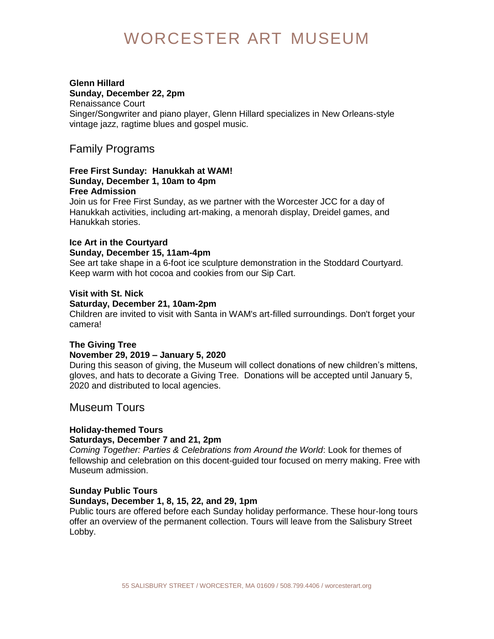#### **Glenn Hillard Sunday, December 22, 2pm**

Renaissance Court Singer/Songwriter and piano player, Glenn Hillard specializes in New Orleans-style vintage jazz, ragtime blues and gospel music.

## Family Programs

#### **Free First Sunday: Hanukkah at WAM! Sunday, December 1, 10am to 4pm Free Admission**

Join us for Free First Sunday, as we partner with the Worcester JCC for a day of Hanukkah activities, including art-making, a menorah display, Dreidel games, and Hanukkah stories.

#### **Ice Art in the Courtyard Sunday, December 15, 11am-4pm**

See art take shape in a 6-foot ice sculpture demonstration in the Stoddard Courtyard. Keep warm with hot cocoa and cookies from our Sip Cart.

## **Visit with St. Nick**

#### **Saturday, December 21, 10am-2pm**

Children are invited to visit with Santa in WAM's art-filled surroundings. Don't forget your camera!

#### **The Giving Tree November 29, 2019 – January 5, 2020**

During this season of giving, the Museum will collect donations of new children's mittens, gloves, and hats to decorate a Giving Tree. Donations will be accepted until January 5, 2020 and distributed to local agencies.

## Museum Tours

## **Holiday-themed Tours**

## **Saturdays, December 7 and 21, 2pm**

*Coming Together: Parties & Celebrations from Around the World*: Look for themes of fellowship and celebration on this docent-guided tour focused on merry making. Free with Museum admission.

## **Sunday Public Tours**

## **Sundays, December 1, 8, 15, 22, and 29, 1pm**

Public tours are offered before each Sunday holiday performance. These hour-long tours offer an overview of the permanent collection. Tours will leave from the Salisbury Street Lobby.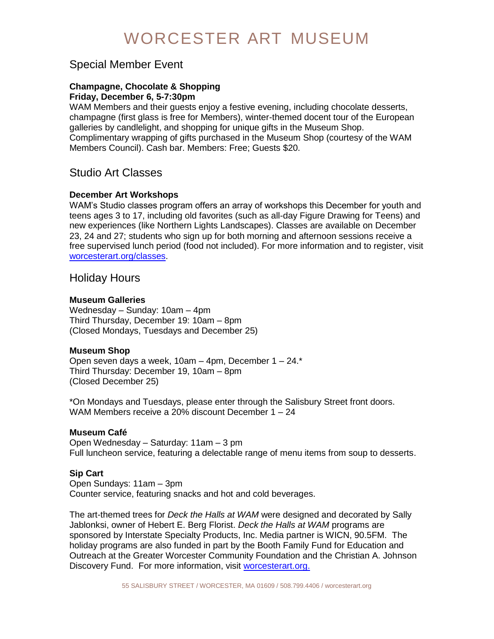## Special Member Event

#### **Champagne, Chocolate & Shopping Friday, December 6, 5-7:30pm**

WAM Members and their guests enjoy a festive evening, including chocolate desserts, champagne (first glass is free for Members), winter-themed docent tour of the European galleries by candlelight, and shopping for unique gifts in the Museum Shop. Complimentary wrapping of gifts purchased in the Museum Shop (courtesy of the WAM Members Council). Cash bar. Members: Free; Guests \$20.

## Studio Art Classes

## **December Art Workshops**

WAM's Studio classes program offers an array of workshops this December for youth and teens ages 3 to 17, including old favorites (such as all-day Figure Drawing for Teens) and new experiences (like Northern Lights Landscapes). Classes are available on December 23, 24 and 27; students who sign up for both morning and afternoon sessions receive a free supervised lunch period (food not included). For more information and to register, visit [worcesterart.org/classes.](https://portal.worcesterart.org/classes)

## Holiday Hours

#### **Museum Galleries**

Wednesday – Sunday: 10am – 4pm Third Thursday, December 19: 10am – 8pm (Closed Mondays, Tuesdays and December 25)

#### **Museum Shop**

Open seven days a week, 10am – 4pm, December 1 – 24.\* Third Thursday: December 19, 10am – 8pm (Closed December 25)

\*On Mondays and Tuesdays, please enter through the Salisbury Street front doors. WAM Members receive a 20% discount December 1 – 24

#### **Museum Café**

Open Wednesday – Saturday: 11am – 3 pm Full luncheon service, featuring a delectable range of menu items from soup to desserts.

## **Sip Cart**

Open Sundays: 11am – 3pm Counter service, featuring snacks and hot and cold beverages.

The art-themed trees for *Deck the Halls at WAM* were designed and decorated by Sally Jablonksi, owner of Hebert E. Berg Florist. *Deck the Halls at WAM* programs are sponsored by Interstate Specialty Products, Inc. Media partner is WICN, 90.5FM. The holiday programs are also funded in part by the Booth Family Fund for Education and Outreach at the Greater Worcester Community Foundation and the Christian A. Johnson Discovery Fund. For more information, visit [worcesterart.org.](https://www.worcesterart.org/events/deck-the-halls/)